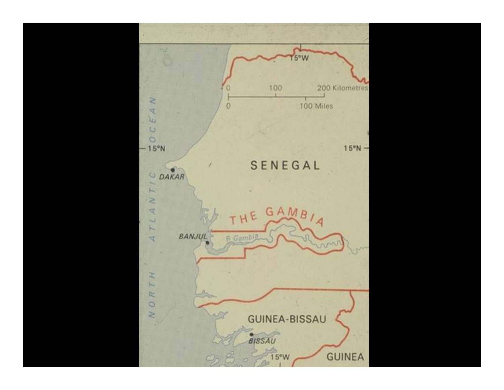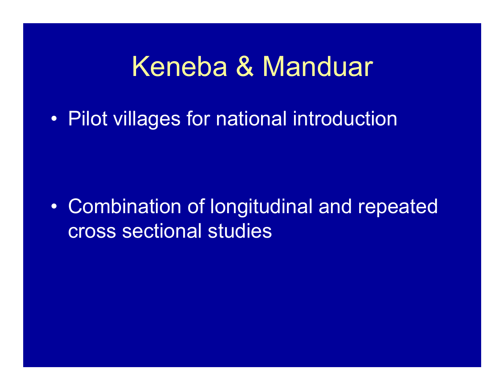#### Keneba & Manduar

 $\bullet$ Pilot villages for national introduction

 $\bullet$  Combination of longitudinal and repeated cross sectional studies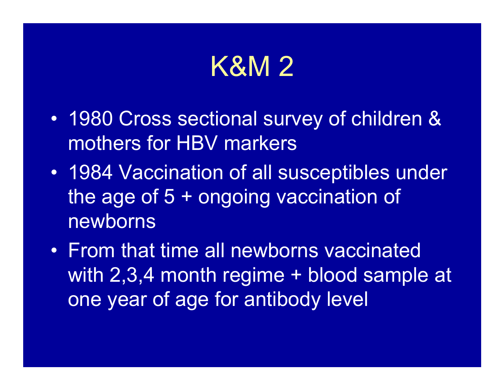## K&M 2

- $\bullet$  1980 Cross sectional survey of children & mothers for HBV markers
- $\bullet$  1984 Vaccination of all susceptibles under the age of 5 + ongoing vaccination of newborns
- From that time all newborns vaccinated with 2,3,4 month regime + blood sample at one year of age for antibody level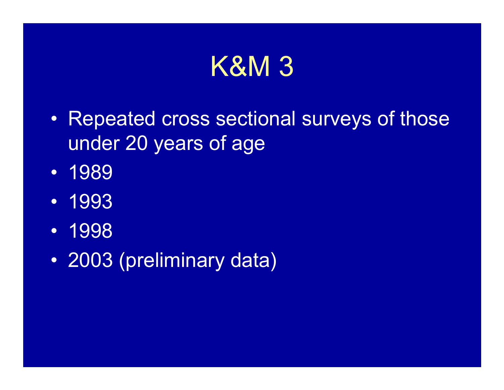### K&M 3

- $\bullet$ • Repeated cross sectional surveys of those under 20 years of age
- 1989
- $\bullet$ 1993
- 1998
- $\bullet$ 2003 (preliminary data)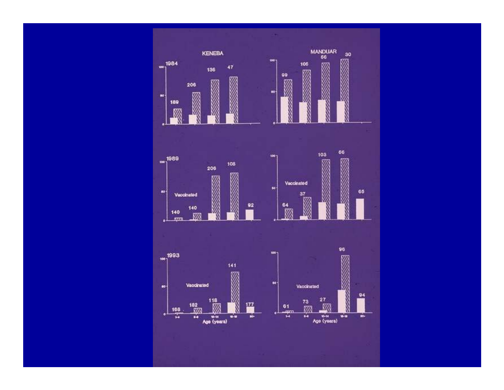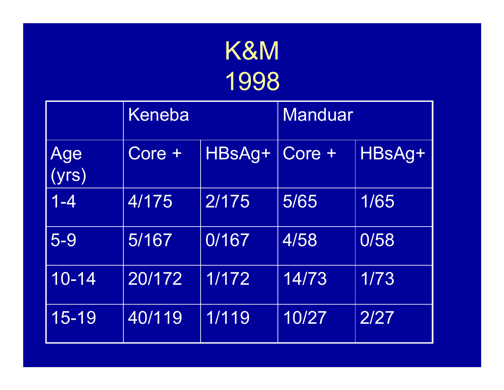#### K&M 1998

|              | Keneba |        | <b>Manduar</b> |        |
|--------------|--------|--------|----------------|--------|
| Age<br>(yrs) | Core + | HBsAg+ | Core +         | HBsAg+ |
| $ 1 - 4 $    | 4/175  | 2/175  | 5/65           | 1/65   |
| $5-9$        | 5/167  | 0/167  | 4/58           | 0/58   |
| $10 - 14$    | 20/172 | 1/172  | 14/73          | 1/73   |
| 15-19        | 40/119 | 1/119  | 10/27          | 2/27   |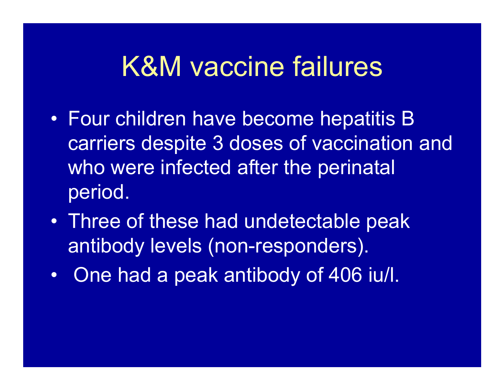## K&M vaccine failures

- $\bullet$  Four children have become hepatitis B carriers despite 3 doses of vaccination and who were infected after the perinatal period.
- • Three of these had undetectable peak antibody levels (non-responders).
- $\bullet$ • One had a peak antibody of 406 iu/l.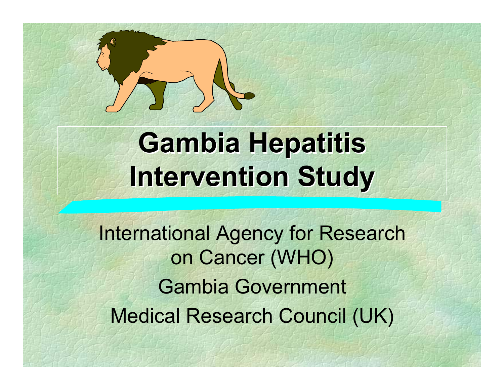

# **Gambia Hepatitis Intervention Study Intervention Study**

International Agency for Research on Cancer (WHO) Gambia Government Medical Research Council (UK)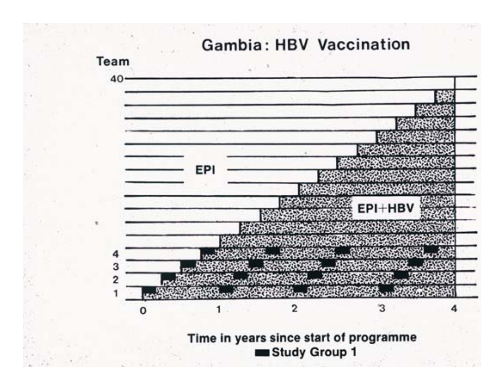#### **Gambia: HBV Vaccination**

Team

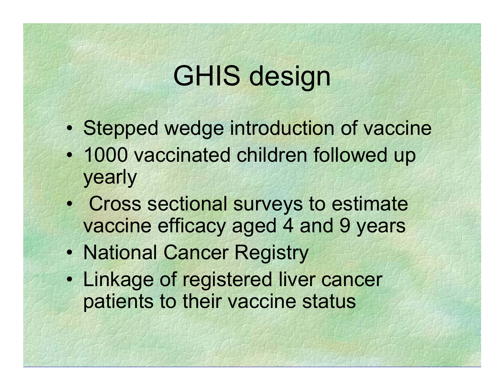# GHIS design

- •Stepped wedge introduction of vaccine
- • 1000 vaccinated children followed up yearly
- • Cross sectional surveys to estimate vaccine efficacy aged 4 and 9 years
- •• National Cancer Registry
- • Linkage of registered liver cancer patients to their vaccine status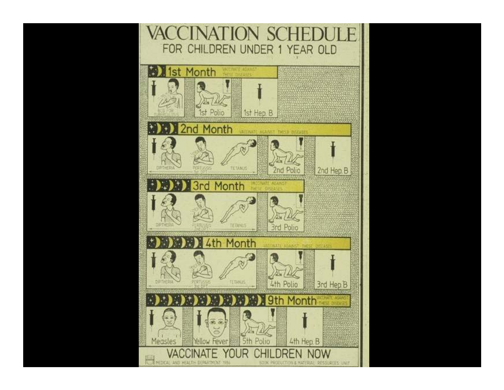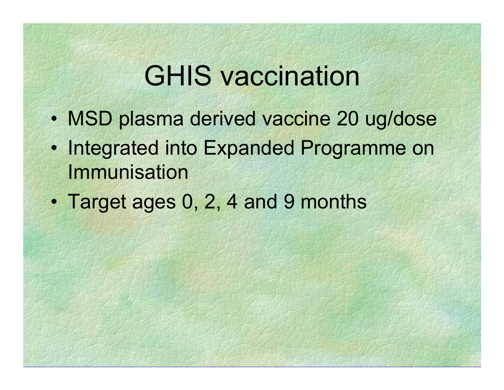## GHIS vaccination

- •MSD plasma derived vaccine 20 ug/dose
- Integrated into Expanded Programme on Immunisation
- •• Target ages 0, 2, 4 and 9 months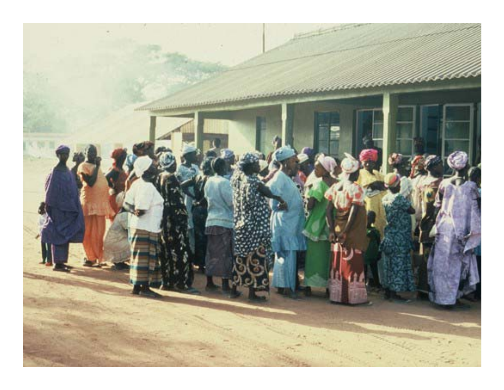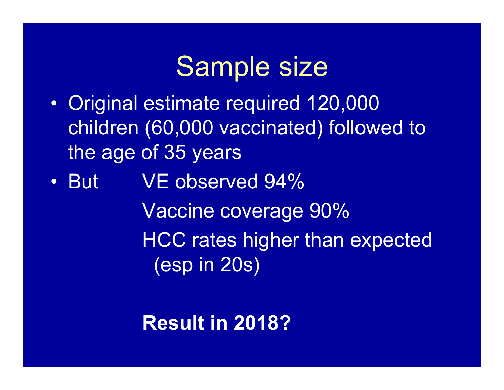## Sample size

- $\bullet$  Original estimate required 120,000 children (60,000 vaccinated) followed to the age of 35 years
- But VE observed 94% Vaccine coverage 90% HCC rates higher than expected (esp in 20s)

**Result in 2018?**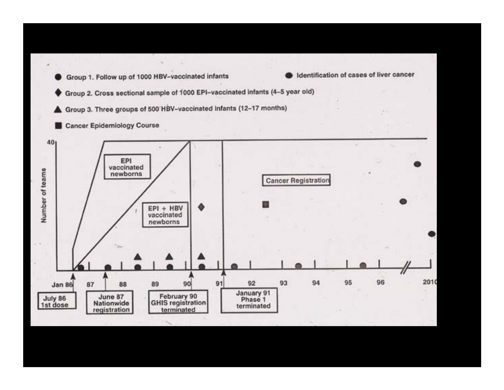Group 1. Follow up of 1000 HBV-vaccinated infants

Identification of cases of liver cancer

Group 2. Cross sectional sample of 1000 EPI-vaccinated infants (4-5 year old)

Group 3. Three groups of 500 HBV-vaccinated infants (12-17 months) ▲

Cancer Epidemiology Course

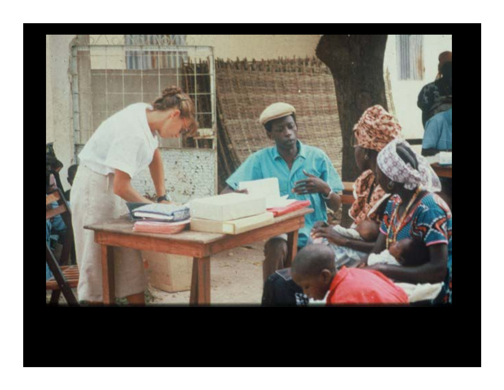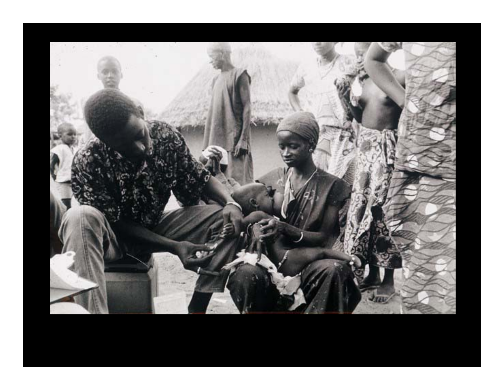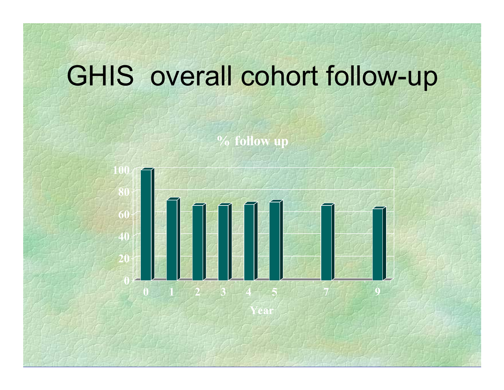## GHIS overall cohort follow-up

% follow up

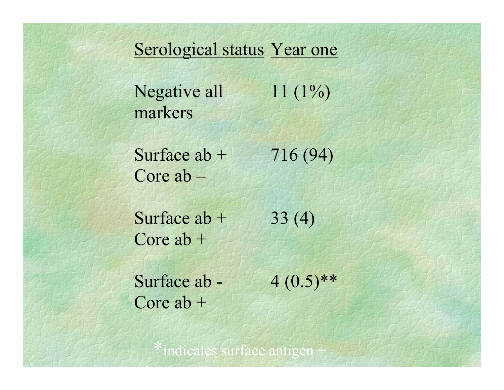#### Serological status Year one

Negative all markers $11 (1%)$ 

Surface ab +Core ab – 716 (94)

Surface ab +Core ab +33 (4)

Surface ab - Core ab +

 $4(0.5)$ \*\*

\*indicates surface antigen +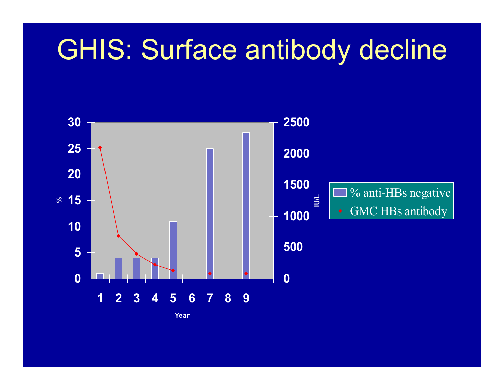#### GHIS: Surface antibody decline

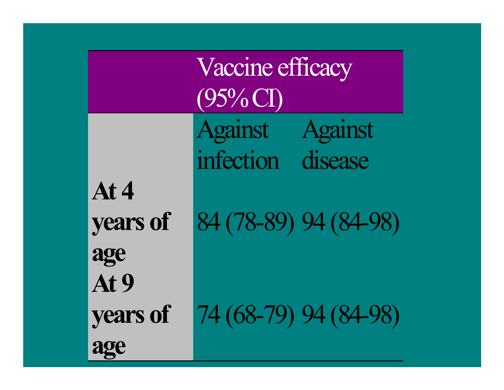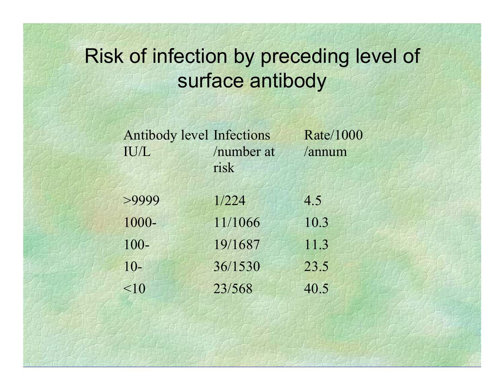#### Risk of infection by preceding level of surface antibody

| Antibody level Infections<br><b>IU/L</b> | /number at<br>risk | <b>Rate/1000</b><br>/annum |
|------------------------------------------|--------------------|----------------------------|
| >9999                                    | 1/224              | 4.5                        |
| 1000-                                    | 11/1066            | 10.3                       |
| $100 -$                                  | 19/1687            | 11.3                       |
| $10-$                                    | 36/1530            | 23.5                       |
| < 10                                     | 23/568             | 40.5                       |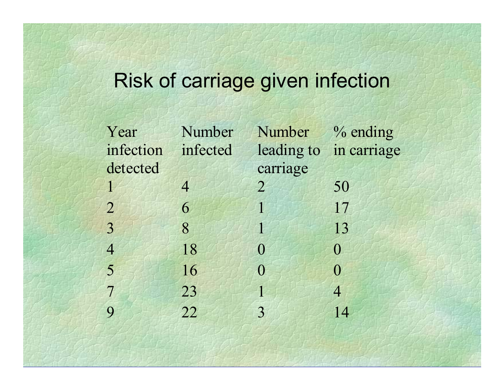#### Risk of carriage given infection

| Year           | Number   | Number         | $%$ ending             |
|----------------|----------|----------------|------------------------|
| infection      | infected |                | leading to in carriage |
| detected       |          | carriage       |                        |
|                | 4        | $\overline{2}$ | 50                     |
| $\overline{2}$ | 6        |                | 17                     |
| $\overline{3}$ | 8        |                | 13                     |
|                | 18       | $\theta$       | $\overline{0}$         |
| 5              | 16       | $\overline{0}$ | $\bm{0}$               |
| 7              | 23       |                | $\overline{4}$         |
| 9              | 22       | $\mathcal{E}$  | 14                     |